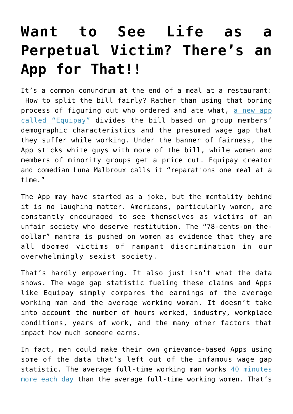## **[Want to See Life as a](https://intellectualtakeout.org/2016/02/want-to-see-life-as-a-perpetual-victim-theres-an-app-for-that/) [Perpetual Victim? There's an](https://intellectualtakeout.org/2016/02/want-to-see-life-as-a-perpetual-victim-theres-an-app-for-that/) [App for That!!](https://intellectualtakeout.org/2016/02/want-to-see-life-as-a-perpetual-victim-theres-an-app-for-that/)**

It's a common conundrum at the end of a meal at a restaurant: How to split the bill fairly? Rather than using that boring process of figuring out who ordered and ate what, [a new app](http://www.kshb.com/entertainment/38-the-spot-kmci/new-app-splits-up-dinner-bill-based-on-wage-inequality-1) [called "Equipay"](http://www.kshb.com/entertainment/38-the-spot-kmci/new-app-splits-up-dinner-bill-based-on-wage-inequality-1) divides the bill based on group members' demographic characteristics and the presumed wage gap that they suffer while working. Under the banner of fairness, the App sticks white guys with more of the bill, while women and members of minority groups get a price cut. Equipay creator and comedian Luna Malbroux calls it "reparations one meal at a time."

The App may have started as a joke, but the mentality behind it is no laughing matter. Americans, particularly women, are constantly encouraged to see themselves as victims of an unfair society who deserve restitution. The "78-cents-on-thedollar" mantra is pushed on women as evidence that they are all doomed victims of rampant discrimination in our overwhelmingly sexist society.

That's hardly empowering. It also just isn't what the data shows. The wage gap statistic fueling these claims and Apps like Equipay simply compares the earnings of the average working man and the average working woman. It doesn't take into account the number of hours worked, industry, workplace conditions, years of work, and the many other factors that impact how much someone earns.

In fact, men could make their own grievance-based Apps using some of the data that's left out of the infamous wage gap statistic. The average full-time working man works [40 minutes](http://www.bls.gov/news.release/pdf/atus.pdf) [more each day](http://www.bls.gov/news.release/pdf/atus.pdf) than the average full-time working women. That's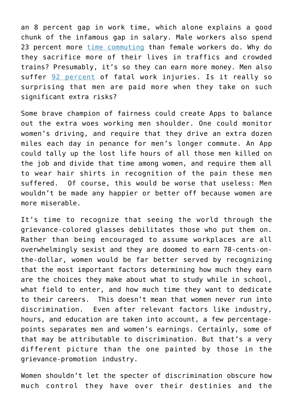an 8 percent gap in work time, which alone explains a good chunk of the infamous gap in salary. Male workers also spend 23 percent more [time commuting](http://www.nationalreview.com/corner/430796/gender-commute-gap-men-earn-more) than female workers do. Why do they sacrifice more of their lives in traffics and crowded trains? Presumably, it's so they can earn more money. Men also suffer [92 percent](http://www.bls.gov/iif/oshwc/cfoi/cfch0013.pdf) of fatal work injuries. Is it really so surprising that men are paid more when they take on such significant extra risks?

Some brave champion of fairness could create Apps to balance out the extra woes working men shoulder. One could monitor women's driving, and require that they drive an extra dozen miles each day in penance for men's longer commute. An App could tally up the lost life hours of all those men killed on the job and divide that time among women, and require them all to wear hair shirts in recognition of the pain these men suffered. Of course, this would be worse that useless: Men wouldn't be made any happier or better off because women are more miserable.

It's time to recognize that seeing the world through the grievance-colored glasses debilitates those who put them on. Rather than being encouraged to assume workplaces are all overwhelmingly sexist and they are doomed to earn 78-cents-onthe-dollar, women would be far better served by recognizing that the most important factors determining how much they earn are the choices they make about what to study while in school, what field to enter, and how much time they want to dedicate to their careers. This doesn't mean that women never run into discrimination. Even after relevant factors like industry, hours, and education are taken into account, a few percentagepoints separates men and women's earnings. Certainly, some of that may be attributable to discrimination. But that's a very different picture than the one painted by those in the grievance-promotion industry.

Women shouldn't let the specter of discrimination obscure how much control they have over their destinies and the